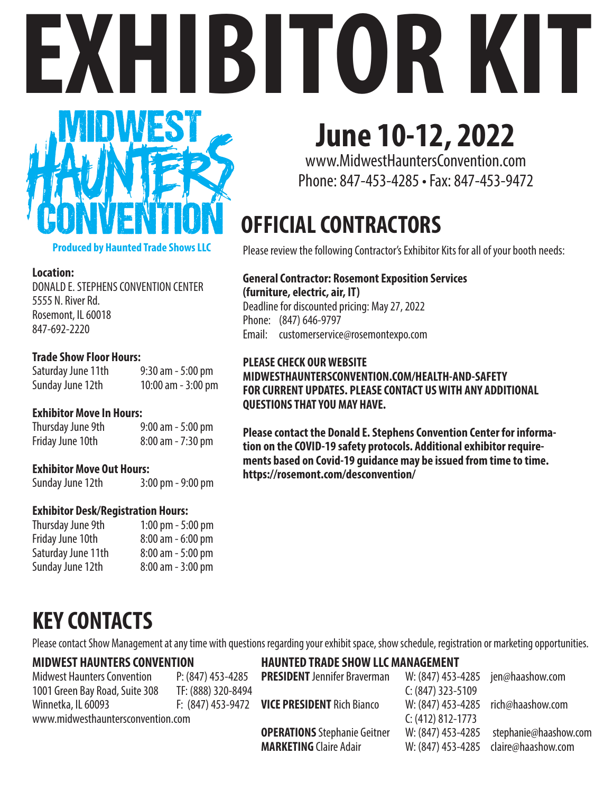# **EXHIBITOR KIT**



**Produced by Haunted Trade Shows LLC**

#### **Location:**

DONALD E. STEPHENS CONVENTION CENTER 5555 N. River Rd. Rosemont, IL 60018 847-692-2220

#### **Trade Show Floor Hours:**

Saturday June 11th 9:30 am - 5:00 pm Sunday June 12th 10:00 am - 3:00 pm

#### **Exhibitor Move In Hours:**

Thursday June 9th 9:00 am - 5:00 pm Friday June 10th 8:00 am - 7:30 pm

#### **Exhibitor Move Out Hours:**

Sunday June 12th 3:00 pm - 9:00 pm

#### **Exhibitor Desk/Registration Hours:**

| 1:00 pm $-$ 5:00 pm  |
|----------------------|
| $8:00$ am $-6:00$ pm |
| $8:00$ am $-5:00$ pm |
| $8:00$ am $-3:00$ pm |
|                      |

# **June 10-12, 2022**

www.MidwestHauntersConvention.com Phone: 847-453-4285 • Fax: 847-453-9472

# **OFFICIAL CONTRACTORS**

Please review the following Contractor's Exhibitor Kits for all of your booth needs:

#### **General Contractor: Rosemont Exposition Services**

**(furniture, electric, air, IT)** Deadline for discounted pricing: May 27, 2022 Phone: (847) 646-9797 Email: customerservice@rosemontexpo.com

#### **PLEASE CHECK OUR WEBSITE MIDWESTHAUNTERSCONVENTION.COM/HEALTH-AND-SAFETY FOR CURRENT UPDATES. PLEASE CONTACT US WITH ANY ADDITIONAL QUESTIONS THAT YOU MAY HAVE.**

**Please contact the Donald E. Stephens Convention Center for information on the COVID-19 safety protocols. Additional exhibitor requirements based on Covid-19 guidance may be issued from time to time. https://rosemont.com/desconvention/**

# **KEY CONTACTS**

Please contact Show Management at any time with questions regarding your exhibit space, show schedule, registration or marketing opportunities.

#### **MIDWEST HAUNTERS CONVENTION**

Midwest Haunters Convention P: (847) 453-4285 1001 Green Bay Road, Suite 308 TF: (888) 320-8494 Winnetka, IL 60093 F: (847) 453-9472 www.midwesthauntersconvention.com

**HAUNTED TRADE SHOW LLC MANAGEMENT** 

**PRESIDENT** Jennifer Braverman W: (847) 453-4285 jen@haashow.com C: (847) 323-5109 **VICE PRESIDENT** Rich Bianco W: (847) 453-4285 rich@haashow.com C: (412) 812-1773 **OPERATIONS** Stephanie Geitner W: (847) 453-4285 stephanie@haashow.com **MARKETING** Claire Adair W: (847) 453-4285 claire@haashow.com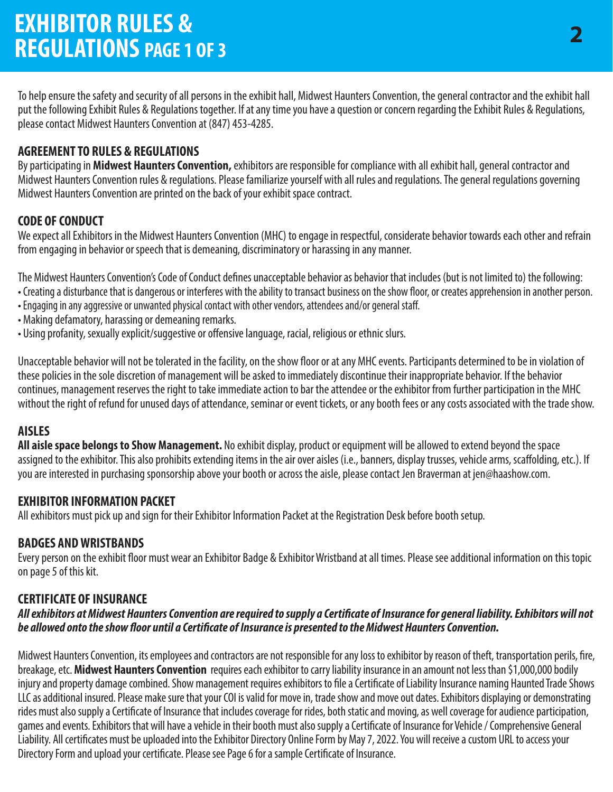To help ensure the safety and security of all persons in the exhibit hall, Midwest Haunters Convention, the general contractor and the exhibit hall put the following Exhibit Rules & Regulations together. If at any time you have a question or concern regarding the Exhibit Rules & Regulations, please contact Midwest Haunters Convention at (847) 453-4285.

#### **AGREEMENT TO RULES & REGULATIONS**

By participating in **Midwest Haunters Convention,** exhibitors are responsible for compliance with all exhibit hall, general contractor and Midwest Haunters Convention rules & regulations. Please familiarize yourself with all rules and regulations. The general regulations governing Midwest Haunters Convention are printed on the back of your exhibit space contract.

#### **CODE OF CONDUCT**

We expect all Exhibitors in the Midwest Haunters Convention (MHC) to engage in respectful, considerate behavior towards each other and refrain from engaging in behavior or speech that is demeaning, discriminatory or harassing in any manner.

The Midwest Haunters Convention's Code of Conduct defines unacceptable behavior as behavior that includes (but is not limited to) the following:

- Creating a disturbance that is dangerous or interferes with the ability to transact business on the show floor, or creates apprehension in another person.
- Engaging in any aggressive or unwanted physical contact with other vendors, attendees and/or general staff.
- Making defamatory, harassing or demeaning remarks.
- Using profanity, sexually explicit/suggestive or offensive language, racial, religious or ethnic slurs.

Unacceptable behavior will not be tolerated in the facility, on the show floor or at any MHC events. Participants determined to be in violation of these policies in the sole discretion of management will be asked to immediately discontinue their inappropriate behavior. If the behavior continues, management reserves the right to take immediate action to bar the attendee or the exhibitor from further participation in the MHC without the right of refund for unused days of attendance, seminar or event tickets, or any booth fees or any costs associated with the trade show.

#### **AISLES**

**All aisle space belongs to Show Management.** No exhibit display, product or equipment will be allowed to extend beyond the space assigned to the exhibitor. This also prohibits extending items in the air over aisles (i.e., banners, display trusses, vehicle arms, scaffolding, etc.). If you are interested in purchasing sponsorship above your booth or across the aisle, please contact Jen Braverman at jen@haashow.com.

#### **EXHIBITOR INFORMATION PACKET**

All exhibitors must pick up and sign for their Exhibitor Information Packet at the Registration Desk before booth setup.

#### **BADGES AND WRISTBANDS**

Every person on the exhibit floor must wear an Exhibitor Badge & Exhibitor Wristband at all times. Please see additional information on this topic on page 5 of this kit.

#### **CERTIFICATE OF INSURANCE**

#### All exhibitors at Midwest Haunters Convention are required to supply a Certificate of Insurance for general liability. Exhibitors will not be allowed onto the show floor until a Certificate of Insurance is presented to the Midwest Haunters Convention.

Midwest Haunters Convention, its employees and contractors are not responsible for any loss to exhibitor by reason of theft, transportation perils, fire, breakage, etc. **Midwest Haunters Convention** requires each exhibitor to carry liability insurance in an amount not less than \$1,000,000 bodily injury and property damage combined. Show management requires exhibitors to file a Certificate of Liability Insurance naming Haunted Trade Shows LLC as additional insured. Please make sure that your COI is valid for move in, trade show and move out dates. Exhibitors displaying or demonstrating rides must also supply a Certificate of Insurance that includes coverage for rides, both static and moving, as well coverage for audience participation, games and events. Exhibitors that will have a vehicle in their booth must also supply a Certificate of Insurance for Vehicle / Comprehensive General Liability. All certificates must be uploaded into the Exhibitor Directory Online Form by May 7, 2022. You will receive a custom URL to access your Directory Form and upload your certificate. Please see Page 6 for a sample Certificate of Insurance.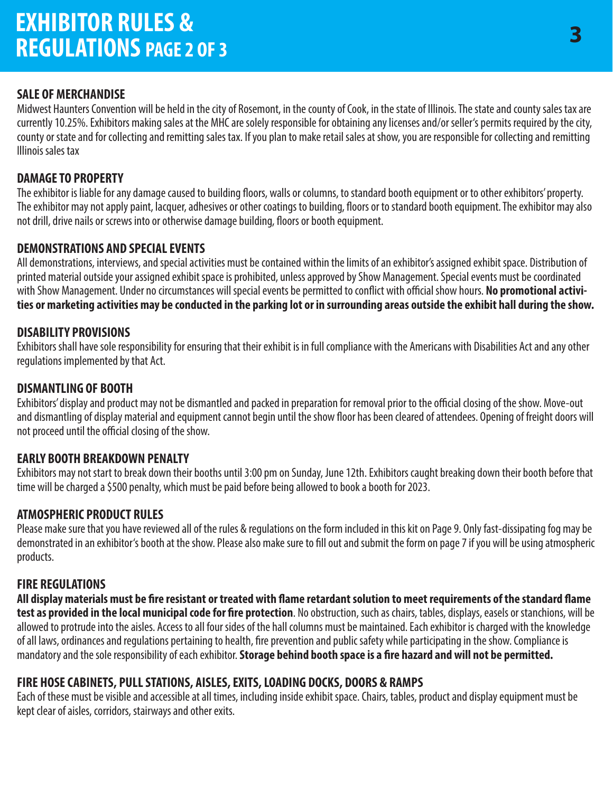### **EXHIBITOR RULES & REGULATIONS PAGE 2 OF 3**

#### **SALE OF MERCHANDISE**

Midwest Haunters Convention will be held in the city of Rosemont, in the county of Cook, in the state of Illinois. The state and county sales tax are currently 10.25%. Exhibitors making sales at the MHC are solely responsible for obtaining any licenses and/or seller's permits required by the city, county or state and for collecting and remitting sales tax. If you plan to make retail sales at show, you are responsible for collecting and remitting Illinois sales tax

#### **DAMAGE TO PROPERTY**

The exhibitor is liable for any damage caused to building floors, walls or columns, to standard booth equipment or to other exhibitors' property. The exhibitor may not apply paint, lacquer, adhesives or other coatings to building, floors or to standard booth equipment. The exhibitor may also not drill, drive nails or screws into or otherwise damage building, floors or booth equipment.

#### **DEMONSTRATIONS AND SPECIAL EVENTS**

All demonstrations, interviews, and special activities must be contained within the limits of an exhibitor's assigned exhibit space. Distribution of printed material outside your assigned exhibit space is prohibited, unless approved by Show Management. Special events must be coordinated with Show Management. Under no circumstances will special events be permitted to conflict with official show hours. No promotional activi**ties or marketing activities may be conducted in the parking lot or in surrounding areas outside the exhibit hall during the show.**

#### **DISABILITY PROVISIONS**

Exhibitors shall have sole responsibility for ensuring that their exhibit is in full compliance with the Americans with Disabilities Act and any other regulations implemented by that Act.

#### **DISMANTLING OF BOOTH**

Exhibitors' display and product may not be dismantled and packed in preparation for removal prior to the official closing of the show. Move-out and dismantling of display material and equipment cannot begin until the show floor has been cleared of attendees. Opening of freight doors will not proceed until the official closing of the show.

#### **EARLY BOOTH BREAKDOWN PENALTY**

Exhibitors may not start to break down their booths until 3:00 pm on Sunday, June 12th. Exhibitors caught breaking down their booth before that time will be charged a \$500 penalty, which must be paid before being allowed to book a booth for 2023.

#### **ATMOSPHERIC PRODUCT RULES**

Please make sure that you have reviewed all of the rules & regulations on the form included in this kit on Page 9. Only fast-dissipating fog may be demonstrated in an exhibitor's booth at the show. Please also make sure to fill out and submit the form on page 7 if you will be using atmospheric products.

#### **FIRE REGULATIONS**

All display materials must be fire resistant or treated with flame retardant solution to meet requirements of the standard flame test as provided in the local municipal code for fire protection. No obstruction, such as chairs, tables, displays, easels or stanchions, will be allowed to protrude into the aisles. Access to all four sides of the hall columns must be maintained. Each exhibitor is charged with the knowledge of all laws, ordinances and regulations pertaining to health, fire prevention and public safety while participating in the show. Compliance is mandatory and the sole responsibility of each exhibitor. **Storage behind booth space is a fire hazard and will not be permitted.** 

#### **FIRE HOSE CABINETS, PULL STATIONS, AISLES, EXITS, LOADING DOCKS, DOORS & RAMPS**

Each of these must be visible and accessible at all times, including inside exhibit space. Chairs, tables, product and display equipment must be kept clear of aisles, corridors, stairways and other exits.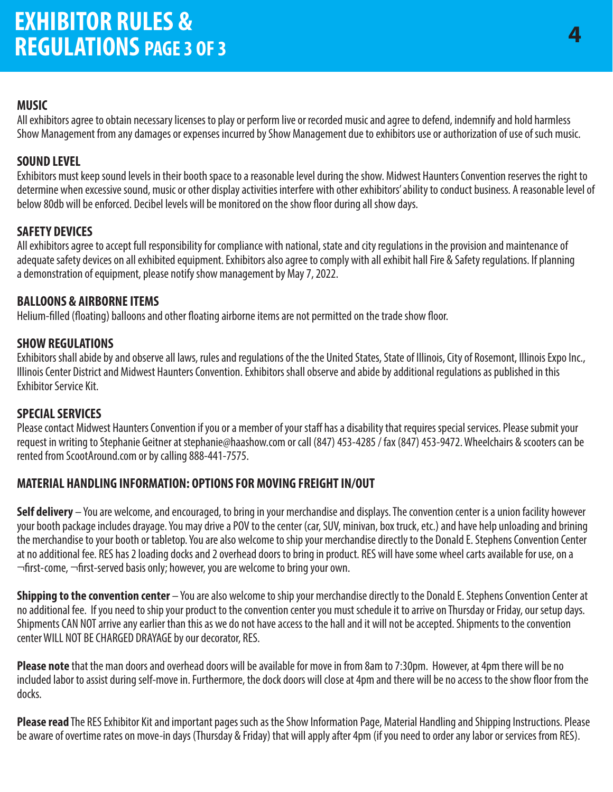#### **MUSIC**

All exhibitors agree to obtain necessary licenses to play or perform live or recorded music and agree to defend, indemnify and hold harmless Show Management from any damages or expenses incurred by Show Management due to exhibitors use or authorization of use of such music.

#### **SOUND LEVEL**

Exhibitors must keep sound levels in their booth space to a reasonable level during the show. Midwest Haunters Convention reserves the right to determine when excessive sound, music or other display activities interfere with other exhibitors' ability to conduct business. A reasonable level of below 80db will be enforced. Decibel levels will be monitored on the show floor during all show days.

#### **SAFETY DEVICES**

All exhibitors agree to accept full responsibility for compliance with national, state and city regulations in the provision and maintenance of adequate safety devices on all exhibited equipment. Exhibitors also agree to comply with all exhibit hall Fire & Safety regulations. If planning a demonstration of equipment, please notify show management by May 7, 2022.

#### **BALLOONS & AIRBORNE ITEMS**

Helium-filled (floating) balloons and other floating airborne items are not permitted on the trade show floor.

#### **SHOW REGULATIONS**

Exhibitors shall abide by and observe all laws, rules and regulations of the the United States, State of Illinois, City of Rosemont, Illinois Expo Inc., Illinois Center District and Midwest Haunters Convention. Exhibitors shall observe and abide by additional regulations as published in this Exhibitor Service Kit.

#### **SPECIAL SERVICES**

Please contact Midwest Haunters Convention if you or a member of your staff has a disability that requires special services. Please submit your request in writing to Stephanie Geitner at stephanie@haashow.com or call (847) 453-4285 / fax (847) 453-9472. Wheelchairs & scooters can be rented from ScootAround.com or by calling 888-441-7575.

#### **MATERIAL HANDLING INFORMATION: OPTIONS FOR MOVING FREIGHT IN/OUT**

**Self delivery** – You are welcome, and encouraged, to bring in your merchandise and displays. The convention center is a union facility however your booth package includes drayage. You may drive a POV to the center (car, SUV, minivan, box truck, etc.) and have help unloading and brining the merchandise to your booth or tabletop. You are also welcome to ship your merchandise directly to the Donald E. Stephens Convention Center at no additional fee. RES has 2 loading docks and 2 overhead doors to bring in product. RES will have some wheel carts available for use, on a  $\neg$ first-come,  $\neg$ first-served basis only; however, you are welcome to bring your own.

**Shipping to the convention center** – You are also welcome to ship your merchandise directly to the Donald E. Stephens Convention Center at no additional fee. If you need to ship your product to the convention center you must schedule it to arrive on Thursday or Friday, our setup days. Shipments CAN NOT arrive any earlier than this as we do not have access to the hall and it will not be accepted. Shipments to the convention center WILL NOT BE CHARGED DRAYAGE by our decorator, RES.

**Please note** that the man doors and overhead doors will be available for move in from 8am to 7:30pm. However, at 4pm there will be no included labor to assist during self-move in. Furthermore, the dock doors will close at 4pm and there will be no access to the show floor from the docks.

**Please read** The RES Exhibitor Kit and important pages such as the Show Information Page, Material Handling and Shipping Instructions. Please be aware of overtime rates on move-in days (Thursday & Friday) that will apply after 4pm (if you need to order any labor or services from RES).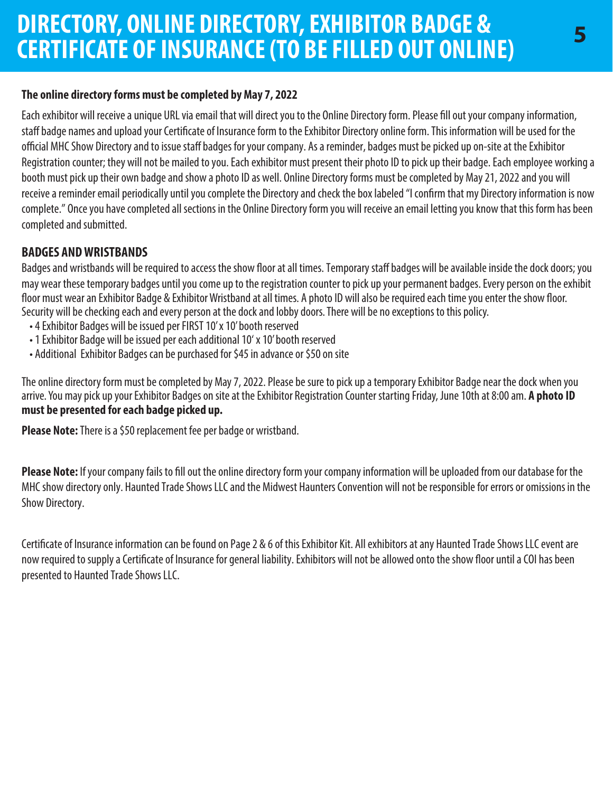#### **The online directory forms must be completed by May 7, 2022**

Each exhibitor will receive a unique URL via email that will direct you to the Online Directory form. Please fill out your company information, staff badge names and upload your Certificate of Insurance form to the Exhibitor Directory online form. This information will be used for the official MHC Show Directory and to issue staff badges for your company. As a reminder, badges must be picked up on-site at the Exhibitor Registration counter; they will not be mailed to you. Each exhibitor must present their photo ID to pick up their badge. Each employee working a booth must pick up their own badge and show a photo ID as well. Online Directory forms must be completed by May 21, 2022 and you will receive a reminder email periodically until you complete the Directory and check the box labeled "I confirm that my Directory information is now complete." Once you have completed all sections in the Online Directory form you will receive an email letting you know that this form has been completed and submitted.

#### **BADGES AND WRISTBANDS**

Badges and wristbands will be required to access the show floor at all times. Temporary staff badges will be available inside the dock doors; you may wear these temporary badges until you come up to the registration counter to pick up your permanent badges. Every person on the exhibit floor must wear an Exhibitor Badge & Exhibitor Wristband at all times. A photo ID will also be required each time you enter the show floor. Security will be checking each and every person at the dock and lobby doors. There will be no exceptions to this policy.

- 4 Exhibitor Badges will be issued per FIRST 10' x 10' booth reserved
- 1 Exhibitor Badge will be issued per each additional 10' x 10' booth reserved
- Additional Exhibitor Badges can be purchased for \$45 in advance or \$50 on site

The online directory form must be completed by May 7, 2022. Please be sure to pick up a temporary Exhibitor Badge near the dock when you arrive. You may pick up your Exhibitor Badges on site at the Exhibitor Registration Counter starting Friday, June 10th at 8:00 am. **A photo ID must be presented for each badge picked up.**

**Please Note:** There is a \$50 replacement fee per badge or wristband.

**Please Note:** If your company fails to fill out the online directory form your company information will be uploaded from our database for the MHC show directory only. Haunted Trade Shows LLC and the Midwest Haunters Convention will not be responsible for errors or omissions in the Show Directory.

Certificate of Insurance information can be found on Page 2 & 6 of this Exhibitor Kit. All exhibitors at any Haunted Trade Shows LLC event are now required to supply a Certificate of Insurance for general liability. Exhibitors will not be allowed onto the show floor until a COI has been presented to Haunted Trade Shows LLC.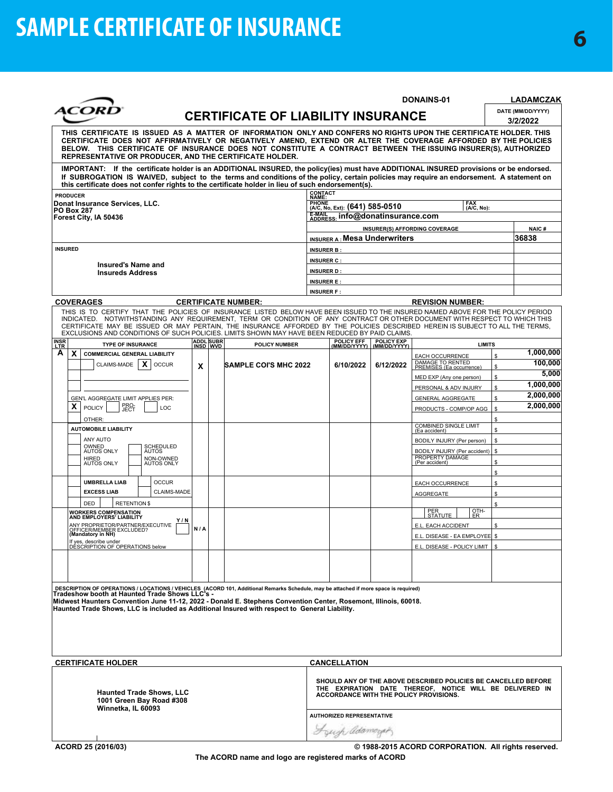|                    | <i><b>ACORD</b></i>                                                                                                                                                                                                                                                                                                                                                                                              |     |                       | <b>CERTIFICATE OF LIABILITY INSURANCE</b> |                                        |                                                                                 |                                                    | DONAINS-01                                                                                                                                                           |          | <b>LADAMCZAK</b><br>DATE (MM/DD/YYYY)<br>3/2/2022 |
|--------------------|------------------------------------------------------------------------------------------------------------------------------------------------------------------------------------------------------------------------------------------------------------------------------------------------------------------------------------------------------------------------------------------------------------------|-----|-----------------------|-------------------------------------------|----------------------------------------|---------------------------------------------------------------------------------|----------------------------------------------------|----------------------------------------------------------------------------------------------------------------------------------------------------------------------|----------|---------------------------------------------------|
|                    | THIS CERTIFICATE IS ISSUED AS A MATTER OF INFORMATION ONLY AND CONFERS NO RIGHTS UPON THE CERTIFICATE HOLDER. THIS<br>CERTIFICATE DOES NOT AFFIRMATIVELY OR NEGATIVELY AMEND, EXTEND OR ALTER THE COVERAGE AFFORDED BY THE POLICIES<br>BELOW. THIS CERTIFICATE OF INSURANCE DOES NOT CONSTITUTE A CONTRACT BETWEEN THE ISSUING INSURER(S), AUTHORIZED<br>REPRESENTATIVE OR PRODUCER, AND THE CERTIFICATE HOLDER. |     |                       |                                           |                                        |                                                                                 |                                                    |                                                                                                                                                                      |          |                                                   |
|                    | IMPORTANT: If the certificate holder is an ADDITIONAL INSURED, the policy(ies) must have ADDITIONAL INSURED provisions or be endorsed.<br>If SUBROGATION IS WAIVED, subject to the terms and conditions of the policy, certain policies may require an endorsement. A statement on<br>this certificate does not confer rights to the certificate holder in lieu of such endorsement(s).                          |     |                       |                                           |                                        |                                                                                 |                                                    |                                                                                                                                                                      |          |                                                   |
|                    | <b>PRODUCER</b>                                                                                                                                                                                                                                                                                                                                                                                                  |     |                       |                                           | CONTACT<br>NAME:                       |                                                                                 |                                                    |                                                                                                                                                                      |          |                                                   |
|                    | Donat Insurance Services, LLC.<br><b>PO Box 287</b><br>Forest City, IA 50436                                                                                                                                                                                                                                                                                                                                     |     |                       |                                           |                                        | PHONE (A/C, No, Ext): (641) 585-0510<br>E-MAIL appress: info@donatinsurance.com |                                                    | FAX<br>(A/C, No):                                                                                                                                                    |          |                                                   |
|                    |                                                                                                                                                                                                                                                                                                                                                                                                                  |     |                       |                                           |                                        |                                                                                 |                                                    | INSURER(S) AFFORDING COVERAGE                                                                                                                                        |          | NAIC#                                             |
|                    |                                                                                                                                                                                                                                                                                                                                                                                                                  |     |                       |                                           |                                        | <b>INSURER A: Mesa Underwriters</b>                                             |                                                    |                                                                                                                                                                      |          | 36838                                             |
|                    | <b>INSURED</b>                                                                                                                                                                                                                                                                                                                                                                                                   |     |                       |                                           | <b>INSURER B:</b><br><b>INSURER C:</b> |                                                                                 |                                                    |                                                                                                                                                                      |          |                                                   |
|                    | <b>Insured's Name and</b><br><b>Insureds Address</b>                                                                                                                                                                                                                                                                                                                                                             |     |                       |                                           | <b>INSURER D:</b>                      |                                                                                 |                                                    |                                                                                                                                                                      |          |                                                   |
|                    |                                                                                                                                                                                                                                                                                                                                                                                                                  |     |                       |                                           | <b>INSURER E:</b>                      |                                                                                 |                                                    |                                                                                                                                                                      |          |                                                   |
|                    |                                                                                                                                                                                                                                                                                                                                                                                                                  |     |                       |                                           | <b>INSURER F:</b>                      |                                                                                 |                                                    |                                                                                                                                                                      |          |                                                   |
|                    | <b>COVERAGES</b><br>THIS IS TO CERTIFY THAT THE POLICIES OF INSURANCE LISTED BELOW HAVE BEEN ISSUED TO THE INSURED NAMED ABOVE FOR THE POLICY PERIOD                                                                                                                                                                                                                                                             |     |                       | <b>CERTIFICATE NUMBER:</b>                |                                        |                                                                                 |                                                    | <b>REVISION NUMBER:</b>                                                                                                                                              |          |                                                   |
|                    | INDICATED. NOTWITHSTANDING ANY REQUIREMENT, TERM OR CONDITION OF ANY CONTRACT OR OTHER DOCUMENT WITH RESPECT TO WHICH THIS<br>CERTIFICATE MAY BE ISSUED OR MAY PERTAIN, THE INSURANCE AFFORDED BY THE POLICIES DESCRIBED HEREIN IS SUBJECT TO ALL THE TERMS,<br>EXCLUSIONS AND CONDITIONS OF SUCH POLICIES. LIMITS SHOWN MAY HAVE BEEN REDUCED BY PAID CLAIMS.                                                   |     |                       |                                           |                                        |                                                                                 |                                                    |                                                                                                                                                                      |          |                                                   |
| <b>INSR</b><br>LTR | <b>TYPE OF INSURANCE</b>                                                                                                                                                                                                                                                                                                                                                                                         |     | ADDL SUBR<br>INSD WVD | <b>POLICY NUMBER</b>                      |                                        |                                                                                 | POLICY EFF POLICY EXP<br>(MM/DD/YYYY) (MM/DD/YYYY) | <b>LIMITS</b>                                                                                                                                                        |          |                                                   |
| A                  | X.<br><b>COMMERCIAL GENERAL LIABILITY</b><br>X<br>CLAIMS-MADE<br><b>OCCUR</b>                                                                                                                                                                                                                                                                                                                                    |     |                       | <b>SAMPLE COI'S MHC 2022</b>              |                                        | 6/10/2022                                                                       | 6/12/2022                                          | EACH OCCURRENCE<br>DAMAGE TO RENTED<br>PREMISES (Ea occurrence)                                                                                                      |          | 1,000,000<br>100,000                              |
|                    |                                                                                                                                                                                                                                                                                                                                                                                                                  | x   |                       |                                           |                                        |                                                                                 |                                                    | MED EXP (Any one person)                                                                                                                                             | \$<br>\$ | 5,000                                             |
|                    |                                                                                                                                                                                                                                                                                                                                                                                                                  |     |                       |                                           |                                        |                                                                                 |                                                    | PERSONAL & ADV INJURY                                                                                                                                                | \$       | 1,000,000                                         |
|                    | GEN'L AGGREGATE LIMIT APPLIES PER:                                                                                                                                                                                                                                                                                                                                                                               |     |                       |                                           |                                        |                                                                                 |                                                    | <b>GENERAL AGGREGATE</b>                                                                                                                                             | \$       | 2,000,000                                         |
|                    | PRO-<br>JECT<br>χ<br>POLICY<br>LOC                                                                                                                                                                                                                                                                                                                                                                               |     |                       |                                           |                                        |                                                                                 |                                                    | PRODUCTS - COMP/OP AGG                                                                                                                                               | \$       | 2,000,000                                         |
|                    | OTHER:                                                                                                                                                                                                                                                                                                                                                                                                           |     |                       |                                           |                                        |                                                                                 |                                                    | <b>COMBINED SINGLE LIMIT</b>                                                                                                                                         | \$       |                                                   |
|                    | <b>AUTOMOBILE LIABILITY</b><br>ANY AUTO                                                                                                                                                                                                                                                                                                                                                                          |     |                       |                                           |                                        |                                                                                 |                                                    | (Ea accident)<br>BODILY INJURY (Per person)                                                                                                                          | \$<br>\$ |                                                   |
|                    | OWNED<br>AUTOS ONLY<br>SCHEDULED<br>AUTOS                                                                                                                                                                                                                                                                                                                                                                        |     |                       |                                           |                                        |                                                                                 |                                                    | BODILY INJURY (Per accident)                                                                                                                                         | \$       |                                                   |
|                    | HIRED<br>AUTOS ONLY<br>NON-OWNED<br>AUTOS ONLY                                                                                                                                                                                                                                                                                                                                                                   |     |                       |                                           |                                        |                                                                                 |                                                    | PROPERTY DAMAGE<br>(Per accident)                                                                                                                                    | \$       |                                                   |
|                    |                                                                                                                                                                                                                                                                                                                                                                                                                  |     |                       |                                           |                                        |                                                                                 |                                                    |                                                                                                                                                                      | \$       |                                                   |
|                    | <b>UMBRELLA LIAB</b><br><b>OCCUR</b><br><b>EXCESS LIAB</b><br><b>CLAIMS-MADE</b>                                                                                                                                                                                                                                                                                                                                 |     |                       |                                           |                                        |                                                                                 |                                                    | <b>EACH OCCURRENCE</b>                                                                                                                                               | \$       |                                                   |
|                    | DED<br><b>RETENTION \$</b>                                                                                                                                                                                                                                                                                                                                                                                       |     |                       |                                           |                                        |                                                                                 |                                                    | AGGREGATE                                                                                                                                                            | \$<br>\$ |                                                   |
|                    | <b>WORKERS COMPENSATION</b><br>AND EMPLOYERS' LIABILITY                                                                                                                                                                                                                                                                                                                                                          |     |                       |                                           |                                        |                                                                                 |                                                    | $\frac{QTH}{ER}$<br>PER<br>STATUTE                                                                                                                                   |          |                                                   |
|                    | Y/N<br>ANY PROPRIETOR/PARTNER/EXECUTIVE                                                                                                                                                                                                                                                                                                                                                                          | N/A |                       |                                           |                                        |                                                                                 |                                                    | E.L. EACH ACCIDENT                                                                                                                                                   | \$       |                                                   |
|                    | OFFICER/MEMBER EXCLUDED?<br>(Mandatory in NH)<br>If yes, describe under<br>DESCRIPTION OF OPERATIONS below                                                                                                                                                                                                                                                                                                       |     |                       |                                           |                                        |                                                                                 |                                                    | E.L. DISEASE - EA EMPLOYEE                                                                                                                                           | ¢        |                                                   |
|                    |                                                                                                                                                                                                                                                                                                                                                                                                                  |     |                       |                                           |                                        |                                                                                 |                                                    | E.L. DISEASE - POLICY LIMIT   \$                                                                                                                                     |          |                                                   |
|                    |                                                                                                                                                                                                                                                                                                                                                                                                                  |     |                       |                                           |                                        |                                                                                 |                                                    |                                                                                                                                                                      |          |                                                   |
|                    |                                                                                                                                                                                                                                                                                                                                                                                                                  |     |                       |                                           |                                        |                                                                                 |                                                    |                                                                                                                                                                      |          |                                                   |
|                    | DESCRIPTION OF OPERATIONS / LOCATIONS / VEHICLES (ACORD 101, Additional Remarks Schedule, may be attached if more space is required)<br>Tradeshow booth at Haunted Trade Shows LLC's -<br>Midwest Haunters Convention June 11-12, 2022 - Donald E. Stephens Convention Center, Rosemont, Illinois, 60018.<br>Haunted Trade Shows, LLC is included as Additional Insured with respect to General Liability.       |     |                       |                                           |                                        |                                                                                 |                                                    |                                                                                                                                                                      |          |                                                   |
|                    |                                                                                                                                                                                                                                                                                                                                                                                                                  |     |                       |                                           |                                        |                                                                                 |                                                    |                                                                                                                                                                      |          |                                                   |
|                    |                                                                                                                                                                                                                                                                                                                                                                                                                  |     |                       |                                           |                                        |                                                                                 |                                                    |                                                                                                                                                                      |          |                                                   |
|                    | <b>CERTIFICATE HOLDER</b>                                                                                                                                                                                                                                                                                                                                                                                        |     |                       |                                           |                                        | <b>CANCELLATION</b>                                                             |                                                    |                                                                                                                                                                      |          |                                                   |
|                    | <b>Haunted Trade Shows, LLC</b><br>1001 Green Bay Road #308                                                                                                                                                                                                                                                                                                                                                      |     |                       |                                           |                                        |                                                                                 |                                                    | SHOULD ANY OF THE ABOVE DESCRIBED POLICIES BE CANCELLED BEFORE<br>THE EXPIRATION DATE THEREOF, NOTICE WILL BE DELIVERED IN<br>ACCORDANCE WITH THE POLICY PROVISIONS. |          |                                                   |
| Winnetka, IL 60093 |                                                                                                                                                                                                                                                                                                                                                                                                                  |     |                       |                                           | <b>AUTHORIZED REPRESENTATIVE</b>       |                                                                                 |                                                    |                                                                                                                                                                      |          |                                                   |
|                    |                                                                                                                                                                                                                                                                                                                                                                                                                  |     |                       |                                           |                                        | Freye adamszak                                                                  |                                                    |                                                                                                                                                                      |          |                                                   |
|                    | ACORD 25 (2016/03)                                                                                                                                                                                                                                                                                                                                                                                               |     |                       |                                           |                                        |                                                                                 |                                                    | © 1988-2015 ACORD CORPORATION. All rights reserved.                                                                                                                  |          |                                                   |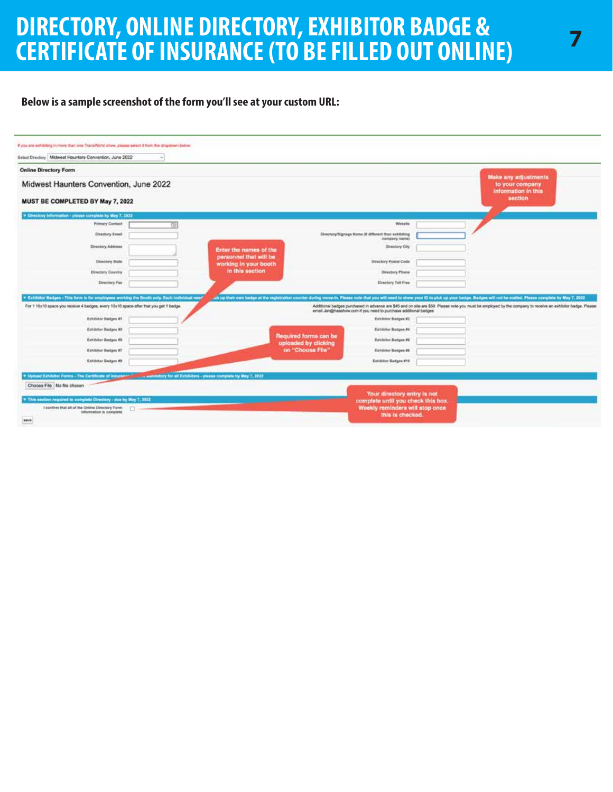## **DIRECTORY, ONLINE DIRECTORY, EXHIBITOR BADGE & CERTIFICATE OF INSURANCE (TO BE FILLED OUT ONLINE)**

#### **Below is a sample screenshot of the form you'll see at your custom URL:**

| <b>Online Directory Form</b><br>Make any adjustments<br>Midwest Haunters Convention, June 2022<br>to your company<br>information in this<br>section<br>MUST BE COMPLETED BY May 7, 2022<br>* Directory Information - plasse complete by May 7, 2022<br>Primary Centest<br>Winkelse<br>Directory Email<br>Directory/Signage Name (if different than exhibiting<br>company risine)<br>Directory Address<br>Directory City<br>Enter the names of the<br>personnel that will be<br><b>Binectory State</b><br><b>Birectory Postal Code</b><br>working in your booth<br>in this section<br><b>Directory Country</b><br>Directory Phone<br>Directory Tell Free<br>Directory Fax<br>* Exhibitor Badges - This form is for employees working the Booth anty. Each todividual need<br>all up their own budge at the registration counter during move in, Please note that you will need to show year O to pluk up your badge. Radges will not be malled. Please complete by May 7, 2022<br>For 1 10x10 space you receive 4 badges, every 10x10 space after that you get 1 badge.<br>Additional badges purchased in advance are \$45 and on site are \$50. Please note you must be employed by the company to receive an exhibitor badge. Please<br>ersail Jon@hasshow.com if you need to purchase additional bedges<br><b>Exhibitor Radges #1</b><br>Exhibitor Badges #2<br>Exhibitor Badges #3<br>Exhibitor Badges #4<br>Required forms can be<br>Exhibitor Badges #5<br>Exhibitor Badges #6<br>uploaded by clicking<br>on "Choose File"<br>Exhibitor Badges #7<br>Exhibitor Radges #8<br>Exhibitor Badges #9<br>Exhibitor Hadges #10<br>Choose File No file chosen | Select Directory Midwest Hauntars Convention, June 2022<br>Ar) |  |  |
|------------------------------------------------------------------------------------------------------------------------------------------------------------------------------------------------------------------------------------------------------------------------------------------------------------------------------------------------------------------------------------------------------------------------------------------------------------------------------------------------------------------------------------------------------------------------------------------------------------------------------------------------------------------------------------------------------------------------------------------------------------------------------------------------------------------------------------------------------------------------------------------------------------------------------------------------------------------------------------------------------------------------------------------------------------------------------------------------------------------------------------------------------------------------------------------------------------------------------------------------------------------------------------------------------------------------------------------------------------------------------------------------------------------------------------------------------------------------------------------------------------------------------------------------------------------------------------------------------------------------------------------------------------|----------------------------------------------------------------|--|--|
|                                                                                                                                                                                                                                                                                                                                                                                                                                                                                                                                                                                                                                                                                                                                                                                                                                                                                                                                                                                                                                                                                                                                                                                                                                                                                                                                                                                                                                                                                                                                                                                                                                                            |                                                                |  |  |
|                                                                                                                                                                                                                                                                                                                                                                                                                                                                                                                                                                                                                                                                                                                                                                                                                                                                                                                                                                                                                                                                                                                                                                                                                                                                                                                                                                                                                                                                                                                                                                                                                                                            |                                                                |  |  |
|                                                                                                                                                                                                                                                                                                                                                                                                                                                                                                                                                                                                                                                                                                                                                                                                                                                                                                                                                                                                                                                                                                                                                                                                                                                                                                                                                                                                                                                                                                                                                                                                                                                            |                                                                |  |  |
|                                                                                                                                                                                                                                                                                                                                                                                                                                                                                                                                                                                                                                                                                                                                                                                                                                                                                                                                                                                                                                                                                                                                                                                                                                                                                                                                                                                                                                                                                                                                                                                                                                                            |                                                                |  |  |
|                                                                                                                                                                                                                                                                                                                                                                                                                                                                                                                                                                                                                                                                                                                                                                                                                                                                                                                                                                                                                                                                                                                                                                                                                                                                                                                                                                                                                                                                                                                                                                                                                                                            |                                                                |  |  |
|                                                                                                                                                                                                                                                                                                                                                                                                                                                                                                                                                                                                                                                                                                                                                                                                                                                                                                                                                                                                                                                                                                                                                                                                                                                                                                                                                                                                                                                                                                                                                                                                                                                            |                                                                |  |  |
|                                                                                                                                                                                                                                                                                                                                                                                                                                                                                                                                                                                                                                                                                                                                                                                                                                                                                                                                                                                                                                                                                                                                                                                                                                                                                                                                                                                                                                                                                                                                                                                                                                                            |                                                                |  |  |
|                                                                                                                                                                                                                                                                                                                                                                                                                                                                                                                                                                                                                                                                                                                                                                                                                                                                                                                                                                                                                                                                                                                                                                                                                                                                                                                                                                                                                                                                                                                                                                                                                                                            |                                                                |  |  |
|                                                                                                                                                                                                                                                                                                                                                                                                                                                                                                                                                                                                                                                                                                                                                                                                                                                                                                                                                                                                                                                                                                                                                                                                                                                                                                                                                                                                                                                                                                                                                                                                                                                            |                                                                |  |  |
|                                                                                                                                                                                                                                                                                                                                                                                                                                                                                                                                                                                                                                                                                                                                                                                                                                                                                                                                                                                                                                                                                                                                                                                                                                                                                                                                                                                                                                                                                                                                                                                                                                                            |                                                                |  |  |
|                                                                                                                                                                                                                                                                                                                                                                                                                                                                                                                                                                                                                                                                                                                                                                                                                                                                                                                                                                                                                                                                                                                                                                                                                                                                                                                                                                                                                                                                                                                                                                                                                                                            |                                                                |  |  |
|                                                                                                                                                                                                                                                                                                                                                                                                                                                                                                                                                                                                                                                                                                                                                                                                                                                                                                                                                                                                                                                                                                                                                                                                                                                                                                                                                                                                                                                                                                                                                                                                                                                            |                                                                |  |  |
|                                                                                                                                                                                                                                                                                                                                                                                                                                                                                                                                                                                                                                                                                                                                                                                                                                                                                                                                                                                                                                                                                                                                                                                                                                                                                                                                                                                                                                                                                                                                                                                                                                                            |                                                                |  |  |
|                                                                                                                                                                                                                                                                                                                                                                                                                                                                                                                                                                                                                                                                                                                                                                                                                                                                                                                                                                                                                                                                                                                                                                                                                                                                                                                                                                                                                                                                                                                                                                                                                                                            |                                                                |  |  |
|                                                                                                                                                                                                                                                                                                                                                                                                                                                                                                                                                                                                                                                                                                                                                                                                                                                                                                                                                                                                                                                                                                                                                                                                                                                                                                                                                                                                                                                                                                                                                                                                                                                            |                                                                |  |  |
|                                                                                                                                                                                                                                                                                                                                                                                                                                                                                                                                                                                                                                                                                                                                                                                                                                                                                                                                                                                                                                                                                                                                                                                                                                                                                                                                                                                                                                                                                                                                                                                                                                                            |                                                                |  |  |
|                                                                                                                                                                                                                                                                                                                                                                                                                                                                                                                                                                                                                                                                                                                                                                                                                                                                                                                                                                                                                                                                                                                                                                                                                                                                                                                                                                                                                                                                                                                                                                                                                                                            |                                                                |  |  |
|                                                                                                                                                                                                                                                                                                                                                                                                                                                                                                                                                                                                                                                                                                                                                                                                                                                                                                                                                                                                                                                                                                                                                                                                                                                                                                                                                                                                                                                                                                                                                                                                                                                            |                                                                |  |  |
| Your directory entry is not<br>This section required to complete Directory - due by May 7, 2022<br>complete until you check this box.                                                                                                                                                                                                                                                                                                                                                                                                                                                                                                                                                                                                                                                                                                                                                                                                                                                                                                                                                                                                                                                                                                                                                                                                                                                                                                                                                                                                                                                                                                                      |                                                                |  |  |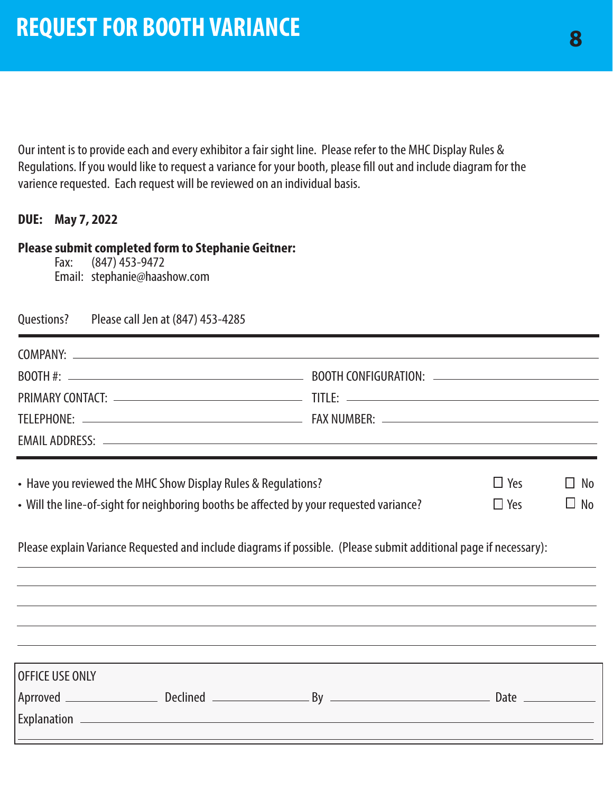Our intent is to provide each and every exhibitor a fair sight line. Please refer to the MHC Display Rules & Regulations. If you would like to request a variance for your booth, please fill out and include diagram for the varience requested. Each request will be reviewed on an individual basis.

#### **DUE: May 7, 2022**

#### **Please submit completed form to Stephanie Geitner:**

Fax: (847) 453-9472 Email: stephanie@haashow.com

Questions? Please call Jen at (847) 453-4285

|                                                                                                                                                                                                                                   | PRIMARY CONTACT: Network and the set of the set of the set of the set of the set of the set of the set of the set of the set of the set of the set of the set of the set of the set of the set of the set of the set of the se |  |                      |
|-----------------------------------------------------------------------------------------------------------------------------------------------------------------------------------------------------------------------------------|--------------------------------------------------------------------------------------------------------------------------------------------------------------------------------------------------------------------------------|--|----------------------|
|                                                                                                                                                                                                                                   |                                                                                                                                                                                                                                |  |                      |
|                                                                                                                                                                                                                                   |                                                                                                                                                                                                                                |  |                      |
| • Have you reviewed the MHC Show Display Rules & Regulations?                                                                                                                                                                     |                                                                                                                                                                                                                                |  | $\Box$ Yes $\Box$ No |
| $\mathcal{L}$ and the contract of the contract of the contract of the contract of the contract of the contract of the contract of the contract of the contract of the contract of the contract of the contract of the contract of | $\Box$ $\Box$                                                                                                                                                                                                                  |  |                      |

• Will the line-of-sight for neighboring booths be affected by your requested variance?  $\Box$  Yes  $\Box$  No

Please explain Variance Requested and include diagrams if possible. (Please submit additional page if necessary):

| OFFICE USE ONLY    |                 |    |      |
|--------------------|-----------------|----|------|
| Aprroved _         | <b>Declined</b> | By | Date |
| <b>Explanation</b> |                 |    |      |
|                    |                 |    |      |